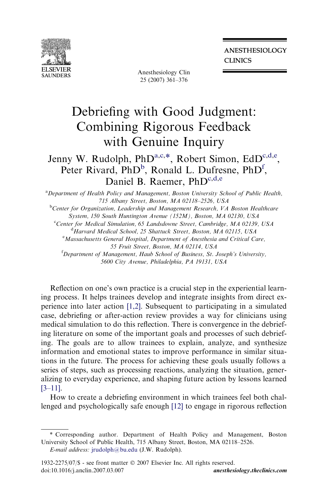

**ANESTHESIOLOGY CLINICS** 

Anesthesiology Clin 25 (2007) 361–376

# Debriefing with Good Judgment: Combining Rigorous Feedback with Genuine Inquiry

Jenny W. Rudolph, PhD<sup>a,c,\*</sup>, Robert Simon, EdD<sup>c,d,e</sup>, Peter Rivard, PhD<sup>b</sup>, Ronald L. Dufresne, PhD<sup>f</sup>, Daniel B. Raemer, PhD<sup>c,d,e</sup>

<sup>a</sup> Department of Health Policy and Management, Boston University School of Public Health, 715 Albany Street, Boston, MA 02118–2526, USA <sup>b</sup>Center for Organization, Leadership and Management Research, VA Boston Healthcare System, 150 South Huntington Avenue (152M), Boston, MA 02130, USA <sup>c</sup>Center for Medical Simulation, 65 Landsdowne Street, Cambridge, MA 02139, USA <sup>d</sup>Harvard Medical School, 25 Shattuck Street, Boston, MA 02115, USA <sup>e</sup> Massachusetts General Hospital, Department of Anesthesia and Critical Care,

55 Fruit Street, Boston, MA 02114, USA

<sup>f</sup>Department of Management, Haub School of Business, St. Joseph's University, 5600 City Avenue, Philadelphia, PA 19131, USA

Reflection on one's own practice is a crucial step in the experiential learning process. It helps trainees develop and integrate insights from direct experience into later action [\[1,2\].](#page-14-0) Subsequent to participating in a simulated case, debriefing or after-action review provides a way for clinicians using medical simulation to do this reflection. There is convergence in the debriefing literature on some of the important goals and processes of such debriefing. The goals are to allow trainees to explain, analyze, and synthesize information and emotional states to improve performance in similar situations in the future. The process for achieving these goals usually follows a series of steps, such as processing reactions, analyzing the situation, generalizing to everyday experience, and shaping future action by lessons learned [\[3–11\]](#page-14-0).

How to create a debriefing environment in which trainees feel both challenged and psychologically safe enough [\[12\]](#page-15-0) to engage in rigorous reflection

E-mail address: [jrudolph@bu.edu](mailto:jrudolph@bu.edu) (J.W. Rudolph).

<sup>\*</sup> Corresponding author. Department of Health Policy and Management, Boston University School of Public Health, 715 Albany Street, Boston, MA 02118–2526.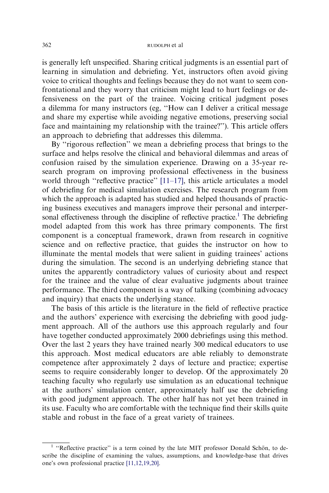is generally left unspecified. Sharing critical judgments is an essential part of learning in simulation and debriefing. Yet, instructors often avoid giving voice to critical thoughts and feelings because they do not want to seem confrontational and they worry that criticism might lead to hurt feelings or defensiveness on the part of the trainee. Voicing critical judgment poses a dilemma for many instructors (eg, ''How can I deliver a critical message and share my expertise while avoiding negative emotions, preserving social face and maintaining my relationship with the trainee?''). This article offers an approach to debriefing that addresses this dilemma.

By ''rigorous reflection'' we mean a debriefing process that brings to the surface and helps resolve the clinical and behavioral dilemmas and areas of confusion raised by the simulation experience. Drawing on a 35-year research program on improving professional effectiveness in the business world through "reflective practice" [\[11–17\],](#page-14-0) this article articulates a model of debriefing for medical simulation exercises. The research program from which the approach is adapted has studied and helped thousands of practicing business executives and managers improve their personal and interpersonal effectiveness through the discipline of reflective practice.<sup>1</sup> The debriefing model adapted from this work has three primary components. The first component is a conceptual framework, drawn from research in cognitive science and on reflective practice, that guides the instructor on how to illuminate the mental models that were salient in guiding trainees' actions during the simulation. The second is an underlying debriefing stance that unites the apparently contradictory values of curiosity about and respect for the trainee and the value of clear evaluative judgments about trainee performance. The third component is a way of talking (combining advocacy and inquiry) that enacts the underlying stance.

The basis of this article is the literature in the field of reflective practice and the authors' experience with exercising the debriefing with good judgment approach. All of the authors use this approach regularly and four have together conducted approximately 2000 debriefings using this method. Over the last 2 years they have trained nearly 300 medical educators to use this approach. Most medical educators are able reliably to demonstrate competence after approximately 2 days of lecture and practice; expertise seems to require considerably longer to develop. Of the approximately 20 teaching faculty who regularly use simulation as an educational technique at the authors' simulation center, approximately half use the debriefing with good judgment approach. The other half has not yet been trained in its use. Faculty who are comfortable with the technique find their skills quite stable and robust in the face of a great variety of trainees.

 $1$  "Reflective practice" is a term coined by the late MIT professor Donald Schön, to describe the discipline of examining the values, assumptions, and knowledge-base that drives one's own professional practice [\[11,12,19,20\]](#page-14-0).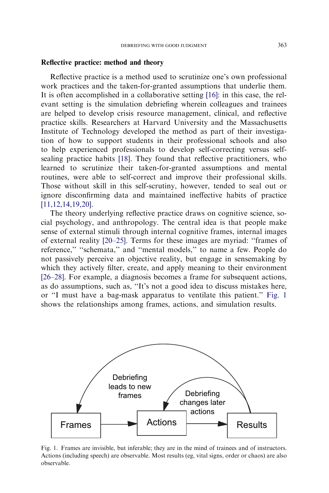#### <span id="page-2-0"></span>Reflective practice: method and theory

Reflective practice is a method used to scrutinize one's own professional work practices and the taken-for-granted assumptions that underlie them. It is often accomplished in a collaborative setting [\[16\]:](#page-15-0) in this case, the relevant setting is the simulation debriefing wherein colleagues and trainees are helped to develop crisis resource management, clinical, and reflective practice skills. Researchers at Harvard University and the Massachusetts Institute of Technology developed the method as part of their investigation of how to support students in their professional schools and also to help experienced professionals to develop self-correcting versus selfsealing practice habits [\[18\].](#page-15-0) They found that reflective practitioners, who learned to scrutinize their taken-for-granted assumptions and mental routines, were able to self-correct and improve their professional skills. Those without skill in this self-scrutiny, however, tended to seal out or ignore disconfirming data and maintained ineffective habits of practice [\[11,12,14,19,20\].](#page-14-0)

The theory underlying reflective practice draws on cognitive science, social psychology, and anthropology. The central idea is that people make sense of external stimuli through internal cognitive frames, internal images of external reality [\[20–25\]](#page-15-0). Terms for these images are myriad: ''frames of reference,'' ''schemata,'' and ''mental models,'' to name a few. People do not passively perceive an objective reality, but engage in sensemaking by which they actively filter, create, and apply meaning to their environment [\[26–28\]](#page-15-0). For example, a diagnosis becomes a frame for subsequent actions, as do assumptions, such as, ''It's not a good idea to discuss mistakes here, or ''I must have a bag-mask apparatus to ventilate this patient.'' Fig. 1 shows the relationships among frames, actions, and simulation results.



Fig. 1. Frames are invisible, but inferable; they are in the mind of trainees and of instructors. Actions (including speech) are observable. Most results (eg, vital signs, order or chaos) are also observable.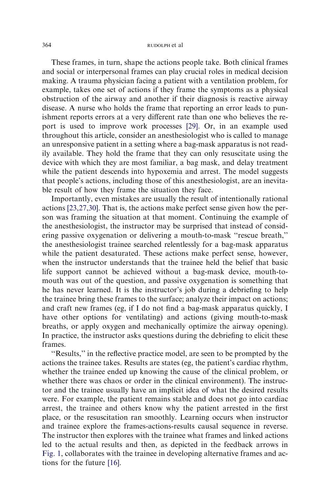These frames, in turn, shape the actions people take. Both clinical frames and social or interpersonal frames can play crucial roles in medical decision making. A trauma physician facing a patient with a ventilation problem, for example, takes one set of actions if they frame the symptoms as a physical obstruction of the airway and another if their diagnosis is reactive airway disease. A nurse who holds the frame that reporting an error leads to punishment reports errors at a very different rate than one who believes the report is used to improve work processes [\[29\].](#page-15-0) Or, in an example used throughout this article, consider an anesthesiologist who is called to manage an unresponsive patient in a setting where a bag-mask apparatus is not readily available. They hold the frame that they can only resuscitate using the device with which they are most familiar, a bag mask, and delay treatment while the patient descends into hypoxemia and arrest. The model suggests that people's actions, including those of this anesthesiologist, are an inevitable result of how they frame the situation they face.

Importantly, even mistakes are usually the result of intentionally rational actions [\[23,27,30\].](#page-15-0) That is, the actions make perfect sense given how the person was framing the situation at that moment. Continuing the example of the anesthesiologist, the instructor may be surprised that instead of considering passive oxygenation or delivering a mouth-to-mask ''rescue breath,'' the anesthesiologist trainee searched relentlessly for a bag-mask apparatus while the patient desaturated. These actions make perfect sense, however, when the instructor understands that the trainee held the belief that basic life support cannot be achieved without a bag-mask device, mouth-tomouth was out of the question, and passive oxygenation is something that he has never learned. It is the instructor's job during a debriefing to help the trainee bring these frames to the surface; analyze their impact on actions; and craft new frames (eg, if I do not find a bag-mask apparatus quickly, I have other options for ventilating) and actions (giving mouth-to-mask breaths, or apply oxygen and mechanically optimize the airway opening). In practice, the instructor asks questions during the debriefing to elicit these frames.

''Results,'' in the reflective practice model, are seen to be prompted by the actions the trainee takes. Results are states (eg, the patient's cardiac rhythm, whether the trainee ended up knowing the cause of the clinical problem, or whether there was chaos or order in the clinical environment). The instructor and the trainee usually have an implicit idea of what the desired results were. For example, the patient remains stable and does not go into cardiac arrest, the trainee and others know why the patient arrested in the first place, or the resuscitation ran smoothly. Learning occurs when instructor and trainee explore the frames-actions-results causal sequence in reverse. The instructor then explores with the trainee what frames and linked actions led to the actual results and then, as depicted in the feedback arrows in [Fig. 1](#page-2-0), collaborates with the trainee in developing alternative frames and actions for the future [\[16\].](#page-15-0)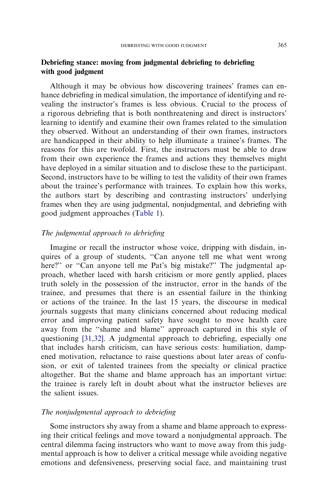## Debriefing stance: moving from judgmental debriefing to debriefing with good judgment

Although it may be obvious how discovering trainees' frames can enhance debriefing in medical simulation, the importance of identifying and revealing the instructor's frames is less obvious. Crucial to the process of a rigorous debriefing that is both nonthreatening and direct is instructors' learning to identify and examine their own frames related to the simulation they observed. Without an understanding of their own frames, instructors are handicapped in their ability to help illuminate a trainee's frames. The reasons for this are twofold. First, the instructors must be able to draw from their own experience the frames and actions they themselves might have deployed in a similar situation and to disclose these to the participant. Second, instructors have to be willing to test the validity of their own frames about the trainee's performance with trainees. To explain how this works, the authors start by describing and contrasting instructors' underlying frames when they are using judgmental, nonjudgmental, and debriefing with good judgment approaches [\(Table 1\)](#page-5-0).

## The judgmental approach to debriefing

Imagine or recall the instructor whose voice, dripping with disdain, inquires of a group of students, ''Can anyone tell me what went wrong here?" or "Can anyone tell me Pat's big mistake?" The judgmental approach, whether laced with harsh criticism or more gently applied, places truth solely in the possession of the instructor, error in the hands of the trainee, and presumes that there is an essential failure in the thinking or actions of the trainee. In the last 15 years, the discourse in medical journals suggests that many clinicians concerned about reducing medical error and improving patient safety have sought to move health care away from the ''shame and blame'' approach captured in this style of questioning [\[31,32\]](#page-15-0). A judgmental approach to debriefing, especially one that includes harsh criticism, can have serious costs: humiliation, dampened motivation, reluctance to raise questions about later areas of confusion, or exit of talented trainees from the specialty or clinical practice altogether. But the shame and blame approach has an important virtue: the trainee is rarely left in doubt about what the instructor believes are the salient issues.

## The nonjudgmental approach to debriefing

Some instructors shy away from a shame and blame approach to expressing their critical feelings and move toward a nonjudgmental approach. The central dilemma facing instructors who want to move away from this judgmental approach is how to deliver a critical message while avoiding negative emotions and defensiveness, preserving social face, and maintaining trust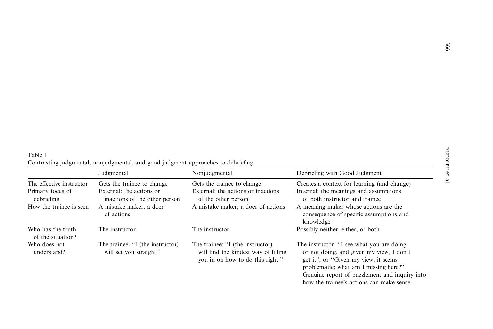<span id="page-5-0"></span>Table 1 Contrasting judgmental, nonjudgmental, and good judgment approaches to debriefing

|                                                            | Judgmental                                                                              | Nonjudgmental                                                                                                | Debriefing with Good Judgment                                                                                                                                                                                                                                        |
|------------------------------------------------------------|-----------------------------------------------------------------------------------------|--------------------------------------------------------------------------------------------------------------|----------------------------------------------------------------------------------------------------------------------------------------------------------------------------------------------------------------------------------------------------------------------|
| The effective instructor<br>Primary focus of<br>debriefing | Gets the trainee to change<br>External: the actions or<br>inactions of the other person | Gets the trainee to change<br>External: the actions or inactions<br>of the other person                      | Creates a context for learning (and change)<br>Internal: the meanings and assumptions<br>of both instructor and trainee                                                                                                                                              |
| How the trainee is seen                                    | A mistake maker; a doer<br>of actions                                                   | A mistake maker; a doer of actions                                                                           | A meaning maker whose actions are the<br>consequence of specific assumptions and<br>knowledge                                                                                                                                                                        |
| Who has the truth<br>of the situation?                     | The instructor                                                                          | The instructor                                                                                               | Possibly neither, either, or both                                                                                                                                                                                                                                    |
| Who does not<br>understand?                                | The trainee; "I (the instructor)<br>will set you straight"                              | The trainee; "I (the instructor)<br>will find the kindest way of filling<br>you in on how to do this right." | The instructor: "I see what you are doing<br>or not doing, and given my view, I don't<br>get it"; or "Given my view, it seems<br>problematic; what am I missing here?"<br>Genuine report of puzzlement and inquiry into<br>how the trainee's actions can make sense. |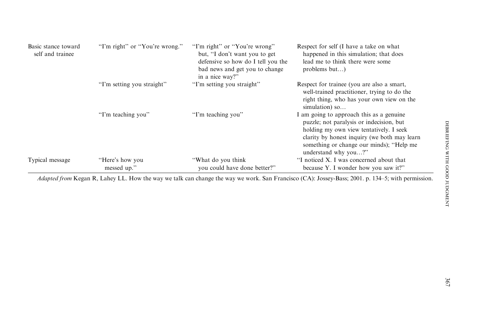| Basic stance toward<br>self and trainee | "I'm right" or "You're wrong." | "I'm right" or "You're wrong"<br>but, "I don't want you to get<br>defensive so how do I tell you the<br>bad news and get you to change<br>in a nice way?" | Respect for self (I have a take on what<br>happened in this simulation; that does<br>lead me to think there were some<br>problems but)                                                                                                              |
|-----------------------------------------|--------------------------------|-----------------------------------------------------------------------------------------------------------------------------------------------------------|-----------------------------------------------------------------------------------------------------------------------------------------------------------------------------------------------------------------------------------------------------|
|                                         | "I'm setting you straight"     | "I'm setting you straight"                                                                                                                                | Respect for trainee (you are also a smart,<br>well-trained practitioner, trying to do the<br>right thing, who has your own view on the<br>simulation) so                                                                                            |
|                                         | "I'm teaching you"             | "I'm teaching you"                                                                                                                                        | I am going to approach this as a genuine<br>puzzle; not paralysis or indecision, but<br>holding my own view tentatively. I seek<br>clarity by honest inquiry (we both may learn<br>something or change our minds); "Help me<br>understand why you?" |
| Typical message                         | "Here's how you<br>messed up." | "What do you think"<br>you could have done better?"                                                                                                       | "I noticed X. I was concerned about that<br>because Y. I wonder how you saw it?"                                                                                                                                                                    |

Adapted from Kegan R, Lahey LL. How the way we talk can change the way we work. San Francisco (CA): Jossey-Bass; 2001. p. 134–5; with permission.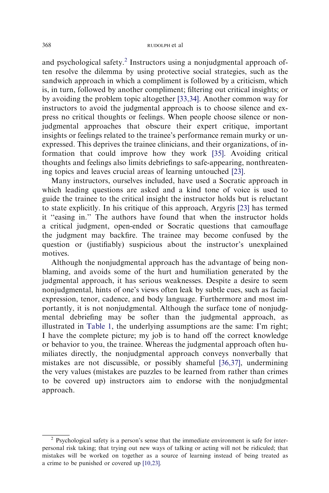and psychological safety.<sup>2</sup> Instructors using a nonjudgmental approach often resolve the dilemma by using protective social strategies, such as the sandwich approach in which a compliment is followed by a criticism, which is, in turn, followed by another compliment; filtering out critical insights; or by avoiding the problem topic altogether [\[33,34\]](#page-15-0). Another common way for instructors to avoid the judgmental approach is to choose silence and express no critical thoughts or feelings. When people choose silence or nonjudgmental approaches that obscure their expert critique, important insights or feelings related to the trainee's performance remain murky or unexpressed. This deprives the trainee clinicians, and their organizations, of information that could improve how they work [\[35\].](#page-15-0) Avoiding critical thoughts and feelings also limits debriefings to safe-appearing, nonthreatening topics and leaves crucial areas of learning untouched [\[23\].](#page-15-0)

Many instructors, ourselves included, have used a Socratic approach in which leading questions are asked and a kind tone of voice is used to guide the trainee to the critical insight the instructor holds but is reluctant to state explicitly. In his critique of this approach, Argyris [\[23\]](#page-15-0) has termed it ''easing in.'' The authors have found that when the instructor holds a critical judgment, open-ended or Socratic questions that camouflage the judgment may backfire. The trainee may become confused by the question or (justifiably) suspicious about the instructor's unexplained motives.

Although the nonjudgmental approach has the advantage of being nonblaming, and avoids some of the hurt and humiliation generated by the judgmental approach, it has serious weaknesses. Despite a desire to seem nonjudgmental, hints of one's views often leak by subtle cues, such as facial expression, tenor, cadence, and body language. Furthermore and most importantly, it is not nonjudgmental. Although the surface tone of nonjudgmental debriefing may be softer than the judgmental approach, as illustrated in [Table 1,](#page-5-0) the underlying assumptions are the same: I'm right; I have the complete picture; my job is to hand off the correct knowledge or behavior to you, the trainee. Whereas the judgmental approach often humiliates directly, the nonjudgmental approach conveys nonverbally that mistakes are not discussible, or possibly shameful [\[36,37\],](#page-15-0) undermining the very values (mistakes are puzzles to be learned from rather than crimes to be covered up) instructors aim to endorse with the nonjudgmental approach.

 $2$  Psychological safety is a person's sense that the immediate environment is safe for interpersonal risk taking; that trying out new ways of talking or acting will not be ridiculed; that mistakes will be worked on together as a source of learning instead of being treated as a crime to be punished or covered up [\[10,23\].](#page-14-0)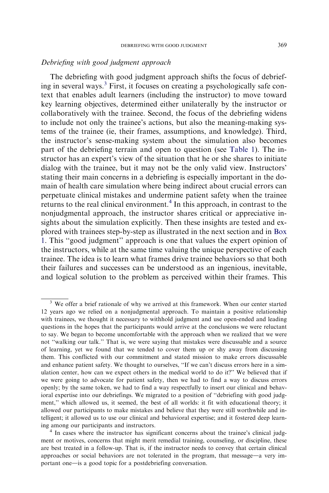## Debriefing with good judgment approach

The debriefing with good judgment approach shifts the focus of debriefing in several ways.<sup>3</sup> First, it focuses on creating a psychologically safe context that enables adult learners (including the instructor) to move toward key learning objectives, determined either unilaterally by the instructor or collaboratively with the trainee. Second, the focus of the debriefing widens to include not only the trainee's actions, but also the meaning-making systems of the trainee (ie, their frames, assumptions, and knowledge). Third, the instructor's sense-making system about the simulation also becomes part of the debriefing terrain and open to question (see [Table 1\)](#page-5-0). The instructor has an expert's view of the situation that he or she shares to initiate dialog with the trainee, but it may not be the only valid view. Instructors' stating their main concerns in a debriefing is especially important in the domain of health care simulation where being indirect about crucial errors can perpetuate clinical mistakes and undermine patient safety when the trainee returns to the real clinical environment.<sup>4</sup> In this approach, in contrast to the nonjudgmental approach, the instructor shares critical or appreciative insights about the simulation explicitly. Then these insights are tested and explored with trainees step-by-step as illustrated in the next section and in [Box](#page-9-0) [1.](#page-9-0) This ''good judgment'' approach is one that values the expert opinion of the instructors, while at the same time valuing the unique perspective of each trainee. The idea is to learn what frames drive trainee behaviors so that both their failures and successes can be understood as an ingenious, inevitable, and logical solution to the problem as perceived within their frames. This

<sup>&</sup>lt;sup>3</sup> We offer a brief rationale of why we arrived at this framework. When our center started 12 years ago we relied on a nonjudgmental approach. To maintain a positive relationship with trainees, we thought it necessary to withhold judgment and use open-ended and leading questions in the hopes that the participants would arrive at the conclusions we were reluctant to say. We began to become uncomfortable with the approach when we realized that we were not ''walking our talk.'' That is, we were saying that mistakes were discussable and a source of learning, yet we found that we tended to cover them up or shy away from discussing them. This conflicted with our commitment and stated mission to make errors discussable and enhance patient safety. We thought to ourselves, ''If we can't discuss errors here in a simulation center, how can we expect others in the medical world to do it?'' We believed that if we were going to advocate for patient safety, then we had to find a way to discuss errors openly; by the same token, we had to find a way respectfully to insert our clinical and behavioral expertise into our debriefings. We migrated to a position of ''debriefing with good judgment,'' which allowed us, it seemed, the best of all worlds: it fit with educational theory; it allowed our participants to make mistakes and believe that they were still worthwhile and intelligent; it allowed us to use our clinical and behavioral expertise; and it fostered deep learning among our participants and instructors. <sup>4</sup> In cases where the instructor has significant concerns about the trainee's clinical judg-

ment or motives, concerns that might merit remedial training, counseling, or discipline, these are best treated in a follow-up. That is, if the instructor needs to convey that certain clinical approaches or social behaviors are not tolerated in the program, that message—a very important one—is a good topic for a postdebriefing conversation.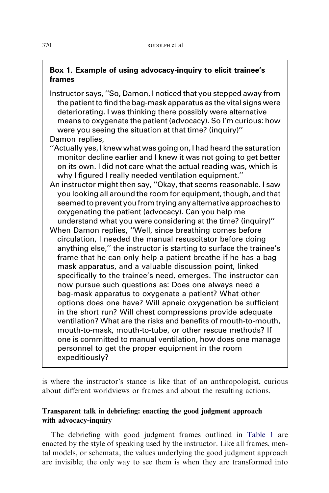# <span id="page-9-0"></span>Box 1. Example of using advocacy-inquiry to elicit trainee's frames

- Instructor says, ''So, Damon, I noticed that you stepped away from the patient to find the bag-mask apparatus as the vital signs were deteriorating. I was thinking there possibly were alternative means to oxygenate the patient (advocacy). So I'm curious: how were you seeing the situation at that time? (inquiry)'' Damon replies,
- ''Actually yes, I knew what was going on, I had heard the saturation monitor decline earlier and I knew it was not going to get better on its own. I did not care what the actual reading was, which is why I figured I really needed ventilation equipment.''
- An instructor might then say, ''Okay, that seems reasonable. I saw you looking all around the room for equipment, though, and that seemed to prevent you from trying any alternative approaches to oxygenating the patient (advocacy). Can you help me understand what you were considering at the time? (inquiry)''
- When Damon replies, ''Well, since breathing comes before circulation, I needed the manual resuscitator before doing anything else,'' the instructor is starting to surface the trainee's frame that he can only help a patient breathe if he has a bagmask apparatus, and a valuable discussion point, linked specifically to the trainee's need, emerges. The instructor can now pursue such questions as: Does one always need a bag-mask apparatus to oxygenate a patient? What other options does one have? Will apneic oxygenation be sufficient in the short run? Will chest compressions provide adequate ventilation? What are the risks and benefits of mouth-to-mouth, mouth-to-mask, mouth-to-tube, or other rescue methods? If one is committed to manual ventilation, how does one manage personnel to get the proper equipment in the room expeditiously?

is where the instructor's stance is like that of an anthropologist, curious about different worldviews or frames and about the resulting actions.

# Transparent talk in debriefing: enacting the good judgment approach with advocacy-inquiry

The debriefing with good judgment frames outlined in [Table 1](#page-5-0) are enacted by the style of speaking used by the instructor. Like all frames, mental models, or schemata, the values underlying the good judgment approach are invisible; the only way to see them is when they are transformed into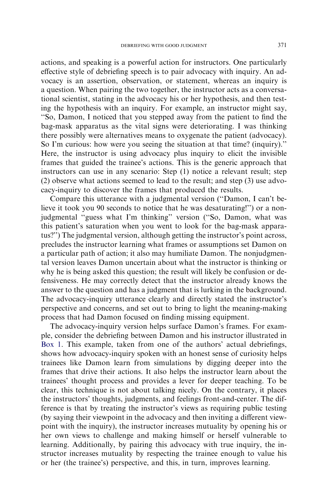actions, and speaking is a powerful action for instructors. One particularly effective style of debriefing speech is to pair advocacy with inquiry. An advocacy is an assertion, observation, or statement, whereas an inquiry is a question. When pairing the two together, the instructor acts as a conversational scientist, stating in the advocacy his or her hypothesis, and then testing the hypothesis with an inquiry. For example, an instructor might say, ''So, Damon, I noticed that you stepped away from the patient to find the bag-mask apparatus as the vital signs were deteriorating. I was thinking there possibly were alternatives means to oxygenate the patient (advocacy). So I'm curious: how were you seeing the situation at that time? (inquiry).'' Here, the instructor is using advocacy plus inquiry to elicit the invisible frames that guided the trainee's actions. This is the generic approach that instructors can use in any scenario: Step (1) notice a relevant result; step (2) observe what actions seemed to lead to the result; and step (3) use advocacy-inquiry to discover the frames that produced the results.

Compare this utterance with a judgmental version (''Damon, I can't believe it took you 90 seconds to notice that he was desaturating!'') or a nonjudgmental "guess what I'm thinking" version ("So, Damon, what was this patient's saturation when you went to look for the bag-mask apparatus?'') The judgmental version, although getting the instructor's point across, precludes the instructor learning what frames or assumptions set Damon on a particular path of action; it also may humiliate Damon. The nonjudgmental version leaves Damon uncertain about what the instructor is thinking or why he is being asked this question; the result will likely be confusion or defensiveness. He may correctly detect that the instructor already knows the answer to the question and has a judgment that is lurking in the background. The advocacy-inquiry utterance clearly and directly stated the instructor's perspective and concerns, and set out to bring to light the meaning-making process that had Damon focused on finding missing equipment.

The advocacy-inquiry version helps surface Damon's frames. For example, consider the debriefing between Damon and his instructor illustrated in [Box 1](#page-9-0). This example, taken from one of the authors' actual debriefings, shows how advocacy-inquiry spoken with an honest sense of curiosity helps trainees like Damon learn from simulations by digging deeper into the frames that drive their actions. It also helps the instructor learn about the trainees' thought process and provides a lever for deeper teaching. To be clear, this technique is not about talking nicely. On the contrary, it places the instructors' thoughts, judgments, and feelings front-and-center. The difference is that by treating the instructor's views as requiring public testing (by saying their viewpoint in the advocacy and then inviting a different viewpoint with the inquiry), the instructor increases mutuality by opening his or her own views to challenge and making himself or herself vulnerable to learning. Additionally, by pairing this advocacy with true inquiry, the instructor increases mutuality by respecting the trainee enough to value his or her (the trainee's) perspective, and this, in turn, improves learning.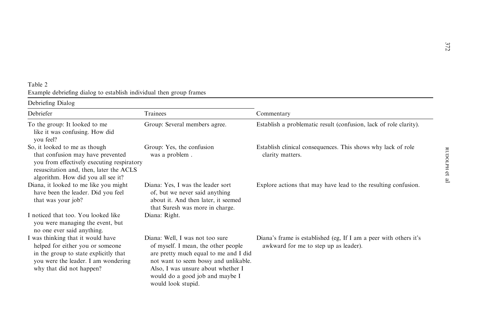<span id="page-11-0"></span>

| Table 2                                                             |  |  |  |
|---------------------------------------------------------------------|--|--|--|
| Example debriefing dialog to establish individual then group frames |  |  |  |

Debriefing Dialog

| Debriefer                                                                                                                                                                                         | Trainees                                                                                                                                                                                                                                                | Commentary                                                                                                 |
|---------------------------------------------------------------------------------------------------------------------------------------------------------------------------------------------------|---------------------------------------------------------------------------------------------------------------------------------------------------------------------------------------------------------------------------------------------------------|------------------------------------------------------------------------------------------------------------|
| To the group: It looked to me<br>like it was confusing. How did<br>you feel?                                                                                                                      | Group: Several members agree.                                                                                                                                                                                                                           | Establish a problematic result (confusion, lack of role clarity).                                          |
| So, it looked to me as though<br>that confusion may have prevented<br>you from effectively executing respiratory<br>resuscitation and, then, later the ACLS<br>algorithm. How did you all see it? | Group: Yes, the confusion<br>was a problem.                                                                                                                                                                                                             | Establish clinical consequences. This shows why lack of role<br>clarity matters.                           |
| Diana, it looked to me like you might<br>have been the leader. Did you feel<br>that was your job?                                                                                                 | Diana: Yes, I was the leader sort<br>of, but we never said anything<br>about it. And then later, it seemed<br>that Suresh was more in charge.                                                                                                           | Explore actions that may have lead to the resulting confusion.                                             |
| I noticed that too. You looked like<br>you were managing the event, but<br>no one ever said anything.                                                                                             | Diana: Right.                                                                                                                                                                                                                                           |                                                                                                            |
| I was thinking that it would have<br>helped for either you or someone<br>in the group to state explicitly that<br>you were the leader. I am wondering<br>why that did not happen?                 | Diana: Well, I was not too sure<br>of myself. I mean, the other people<br>are pretty much equal to me and I did<br>not want to seem bossy and unlikable.<br>Also, I was unsure about whether I<br>would do a good job and maybe I<br>would look stupid. | Diana's frame is established (eg, If I am a peer with others it's<br>awkward for me to step up as leader). |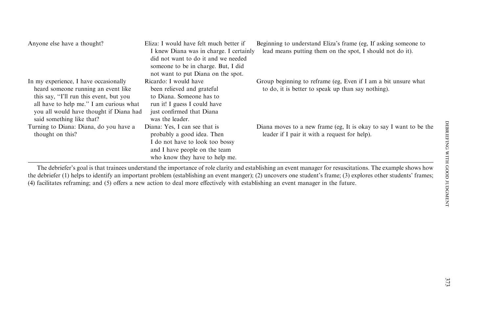| Anyone else have a thought?                                                                                                                                                                                                                | Eliza: I would have felt much better if<br>I knew Diana was in charge. I certainly<br>did not want to do it and we needed<br>someone to be in charge. But, I did<br>not want to put Diana on the spot. | Beginning to understand Eliza's frame (eg. If asking someone to<br>lead means putting them on the spot. I should not do it). |
|--------------------------------------------------------------------------------------------------------------------------------------------------------------------------------------------------------------------------------------------|--------------------------------------------------------------------------------------------------------------------------------------------------------------------------------------------------------|------------------------------------------------------------------------------------------------------------------------------|
| In my experience, I have occasionally<br>heard someone running an event like<br>this say, "I'll run this event, but you<br>all have to help me." I am curious what<br>you all would have thought if Diana had<br>said something like that? | Ricardo: I would have<br>been relieved and grateful<br>to Diana. Someone has to<br>run it! I guess I could have<br>just confirmed that Diana<br>was the leader.                                        | Group beginning to reframe (eg, Even if I am a bit unsure what<br>to do, it is better to speak up than say nothing).         |
| Turning to Diana: Diana, do you have a<br>thought on this?                                                                                                                                                                                 | Diana: Yes, I can see that is<br>probably a good idea. Then<br>I do not have to look too bossy<br>and I have people on the team<br>who know they have to help me.                                      | Diana moves to a new frame (eg, It is okay to say I want to be the<br>leader if I pair it with a request for help).          |

The debriefer's goal is that trainees understand the importance of role clarity and establishing an event manager for resuscitations. The example shows how the debriefer (1) helps to identify an important problem (establishing an event manger); (2) uncovers one student's frame; (3) explores other students' frames; (4) facilitates reframing; and (5) offers <sup>a</sup> new action to deal more effectively with establishing an event manager in the future.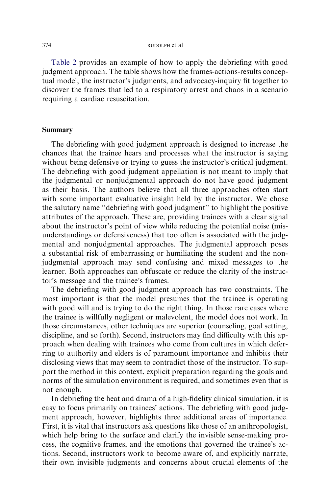[Table 2](#page-11-0) provides an example of how to apply the debriefing with good judgment approach. The table shows how the frames-actions-results conceptual model, the instructor's judgments, and advocacy-inquiry fit together to discover the frames that led to a respiratory arrest and chaos in a scenario requiring a cardiac resuscitation.

### Summary

The debriefing with good judgment approach is designed to increase the chances that the trainee hears and processes what the instructor is saying without being defensive or trying to guess the instructor's critical judgment. The debriefing with good judgment appellation is not meant to imply that the judgmental or nonjudgmental approach do not have good judgment as their basis. The authors believe that all three approaches often start with some important evaluative insight held by the instructor. We chose the salutary name ''debriefing with good judgment'' to highlight the positive attributes of the approach. These are, providing trainees with a clear signal about the instructor's point of view while reducing the potential noise (misunderstandings or defensiveness) that too often is associated with the judgmental and nonjudgmental approaches. The judgmental approach poses a substantial risk of embarrassing or humiliating the student and the nonjudgmental approach may send confusing and mixed messages to the learner. Both approaches can obfuscate or reduce the clarity of the instructor's message and the trainee's frames.

The debriefing with good judgment approach has two constraints. The most important is that the model presumes that the trainee is operating with good will and is trying to do the right thing. In those rare cases where the trainee is willfully negligent or malevolent, the model does not work. In those circumstances, other techniques are superior (counseling, goal setting, discipline, and so forth). Second, instructors may find difficulty with this approach when dealing with trainees who come from cultures in which deferring to authority and elders is of paramount importance and inhibits their disclosing views that may seem to contradict those of the instructor. To support the method in this context, explicit preparation regarding the goals and norms of the simulation environment is required, and sometimes even that is not enough.

In debriefing the heat and drama of a high-fidelity clinical simulation, it is easy to focus primarily on trainees' actions. The debriefing with good judgment approach, however, highlights three additional areas of importance. First, it is vital that instructors ask questions like those of an anthropologist, which help bring to the surface and clarify the invisible sense-making process, the cognitive frames, and the emotions that governed the trainee's actions. Second, instructors work to become aware of, and explicitly narrate, their own invisible judgments and concerns about crucial elements of the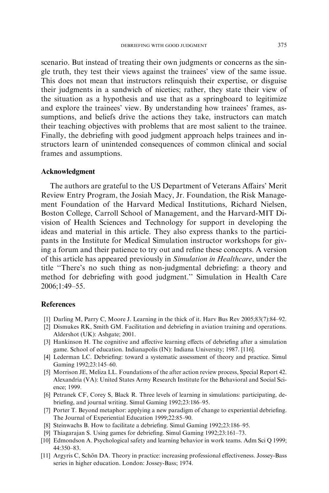<span id="page-14-0"></span>scenario. But instead of treating their own judgments or concerns as the single truth, they test their views against the trainees' view of the same issue. This does not mean that instructors relinquish their expertise, or disguise their judgments in a sandwich of niceties; rather, they state their view of the situation as a hypothesis and use that as a springboard to legitimize and explore the trainees' view. By understanding how trainees' frames, assumptions, and beliefs drive the actions they take, instructors can match their teaching objectives with problems that are most salient to the trainee. Finally, the debriefing with good judgment approach helps trainees and instructors learn of unintended consequences of common clinical and social frames and assumptions.

## Acknowledgment

The authors are grateful to the US Department of Veterans Affairs' Merit Review Entry Program, the Josiah Macy, Jr. Foundation, the Risk Management Foundation of the Harvard Medical Institutions, Richard Nielsen, Boston College, Carroll School of Management, and the Harvard-MIT Division of Health Sciences and Technology for support in developing the ideas and material in this article. They also express thanks to the participants in the Institute for Medical Simulation instructor workshops for giving a forum and their patience to try out and refine these concepts. A version of this article has appeared previously in Simulation in Healthcare, under the title ''There's no such thing as non-judgmental debriefing: a theory and method for debriefing with good judgment.'' Simulation in Health Care 2006;1:49–55.

## **References**

- [1] Darling M, Parry C, Moore J. Learning in the thick of it. Harv Bus Rev 2005;83(7):84–92.
- [2] Dismukes RK, Smith GM. Facilitation and debriefing in aviation training and operations. Aldershot (UK): Ashgate; 2001.
- [3] Hankinson H. The cognitive and affective learning effects of debriefing after a simulation game. School of education. Indianapolis (IN): Indiana University; 1987. [116].
- [4] Lederman LC. Debriefing: toward a systematic assessment of theory and practice. Simul Gaming 1992;23:145–60.
- [5] Morrison JE, Meliza LL. Foundations of the after action review process, Special Report 42. Alexandria (VA): United States Army Research Institute for the Behavioral and Social Science; 1999.
- [6] Petranek CF, Corey S, Black R. Three levels of learning in simulations: participating, debriefing, and journal writing. Simul Gaming 1992;23:186–95.
- [7] Porter T. Beyond metaphor: applying a new paradigm of change to experiential debriefing. The Journal of Experiential Education 1999;22:85–90.
- [8] Steinwachs B. How to facilitate a debriefing. Simul Gaming 1992;23:186–95.
- [9] Thiagarajan S. Using games for debriefing. Simul Gaming 1992;23:161–73.
- [10] Edmondson A. Psychological safety and learning behavior in work teams. Adm Sci Q 1999; 44:350–83.
- [11] Argyris C, Schön DA. Theory in practice: increasing professional effectiveness. Jossey-Bass series in higher education. London: Jossey-Bass; 1974.